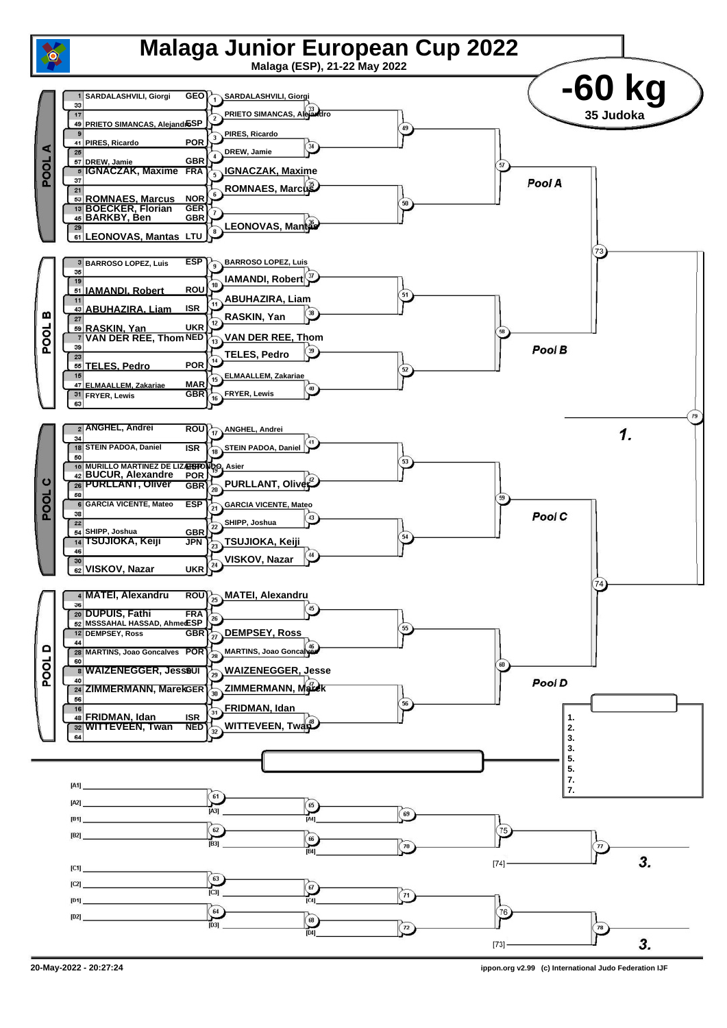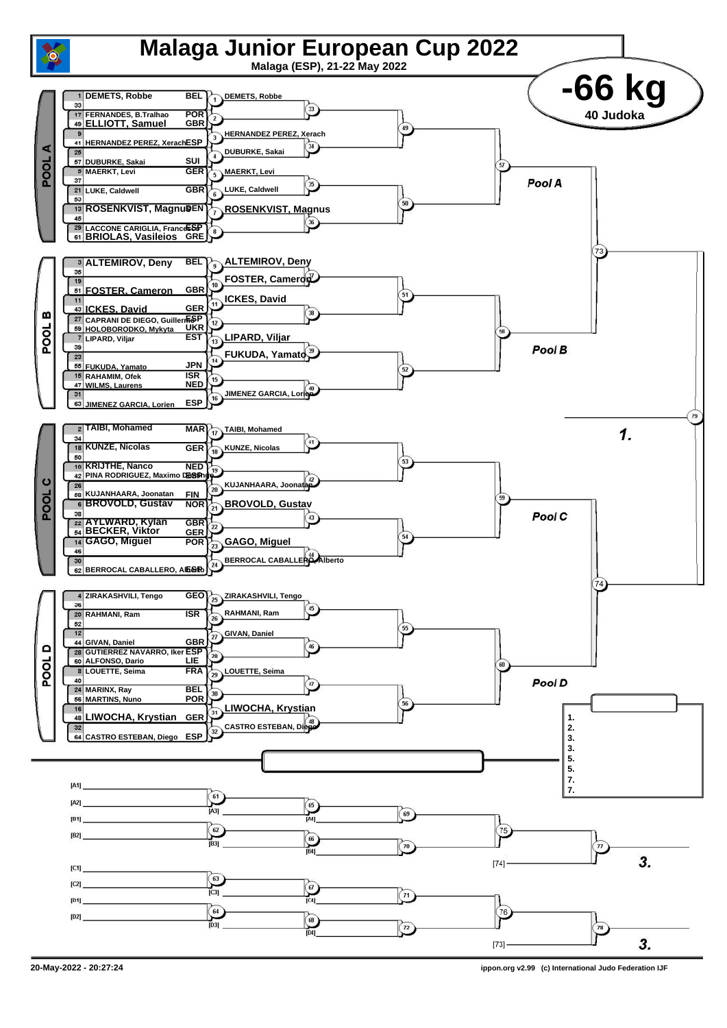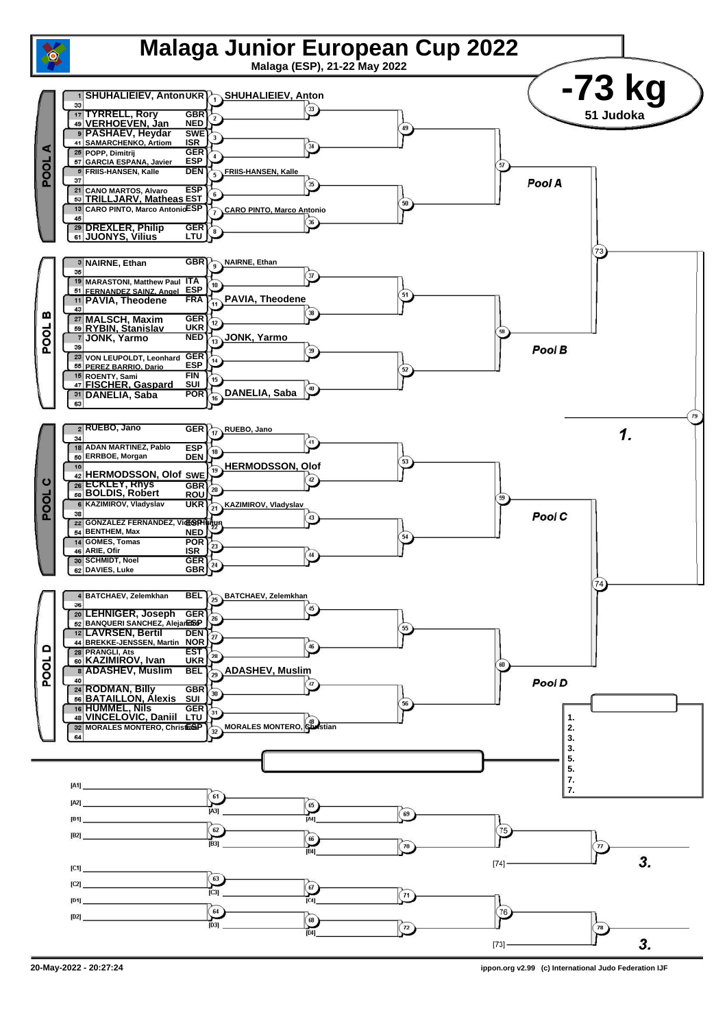

**<sup>20-</sup>May-2022 - 20:27:24 ippon.org v2.99 (c) International Judo Federation IJF**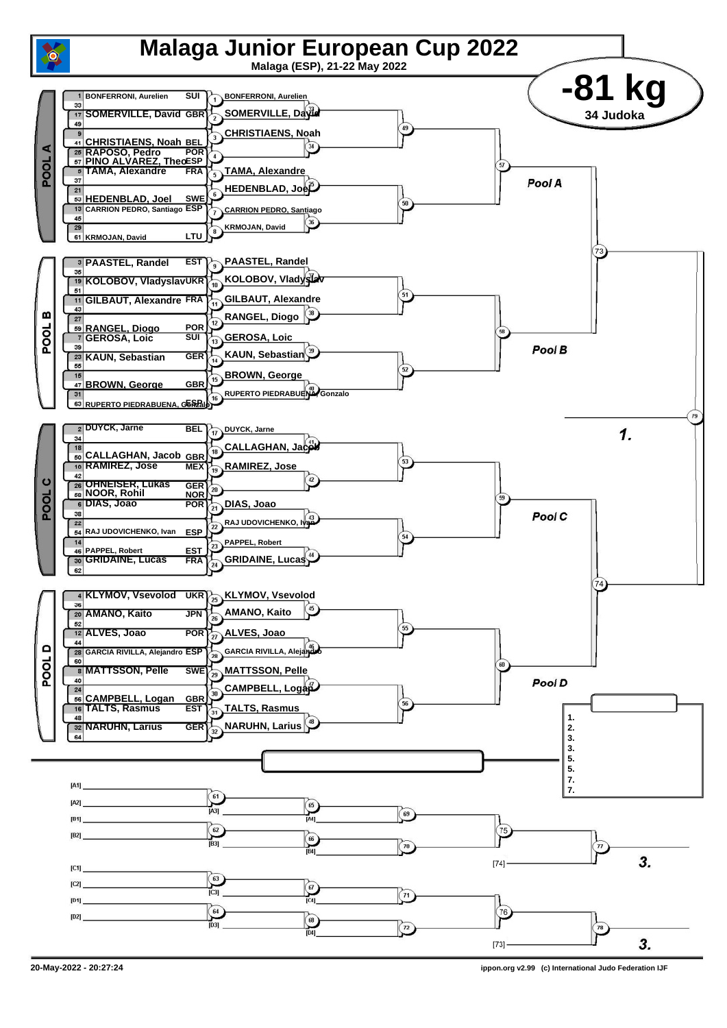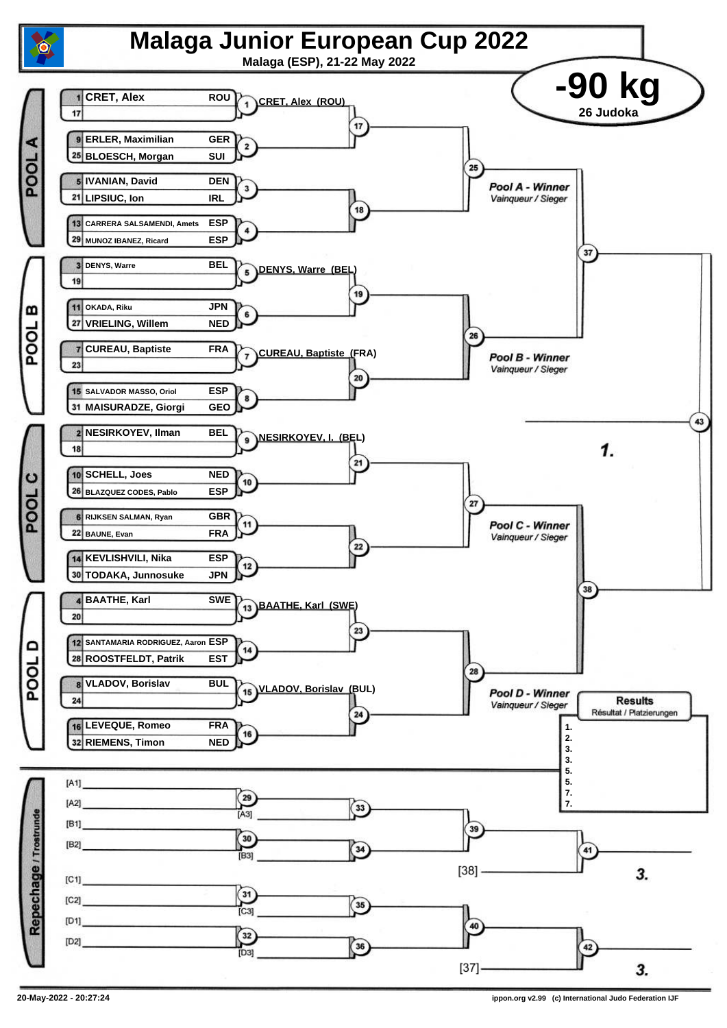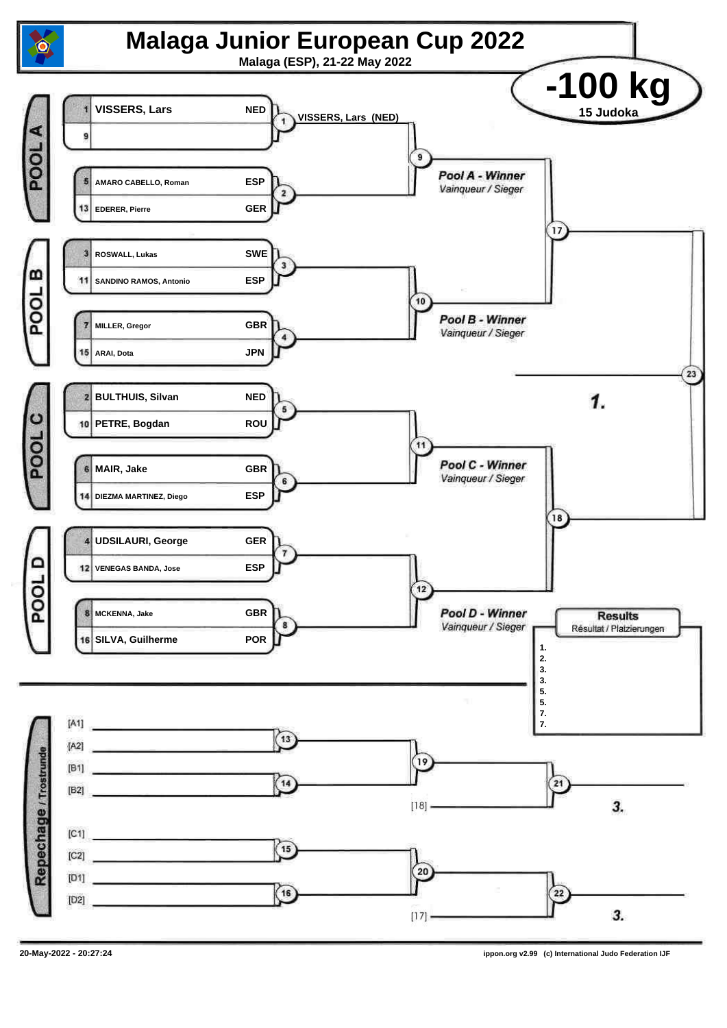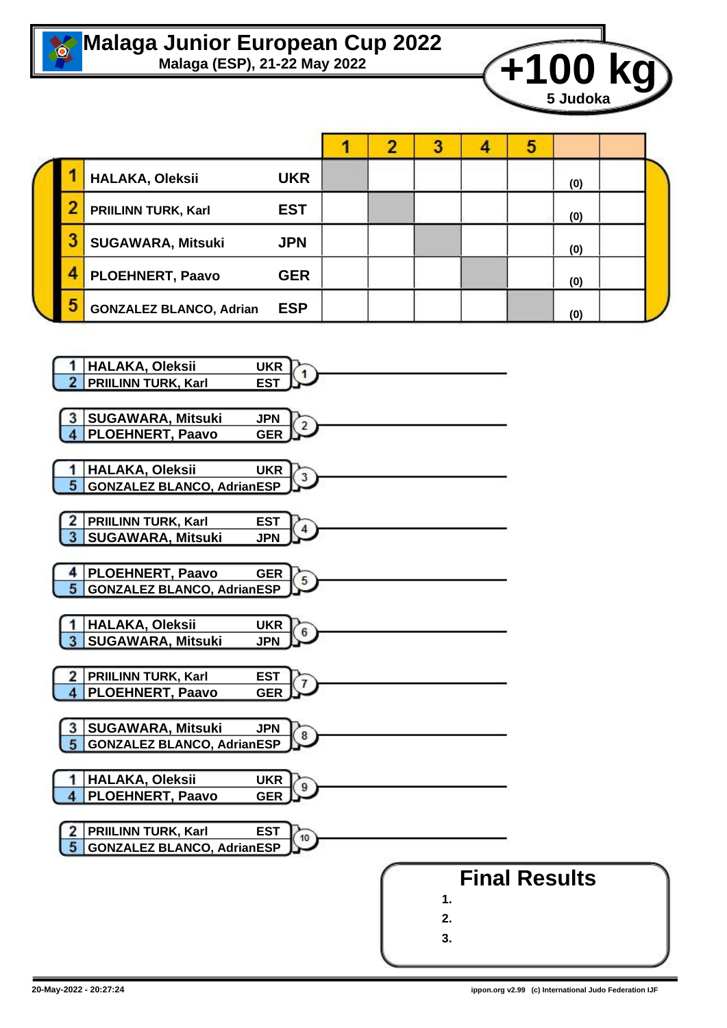

## **Malaga Junior European Cup 2022**<br>Malaga (ESP), 21-22 May 2022



|   | HALAKA, Oleksii                | <b>UKR</b> |  |  |  |  |  | (0) |  |
|---|--------------------------------|------------|--|--|--|--|--|-----|--|
|   | <b>PRIILINN TURK, Karl</b>     | <b>EST</b> |  |  |  |  |  | (0) |  |
|   | <b>SUGAWARA, Mitsuki</b>       | <b>JPN</b> |  |  |  |  |  | (0) |  |
|   | <b>PLOEHNERT, Paavo</b>        | <b>GER</b> |  |  |  |  |  | (0) |  |
| 5 | <b>GONZALEZ BLANCO, Adrian</b> | <b>ESP</b> |  |  |  |  |  | (0) |  |

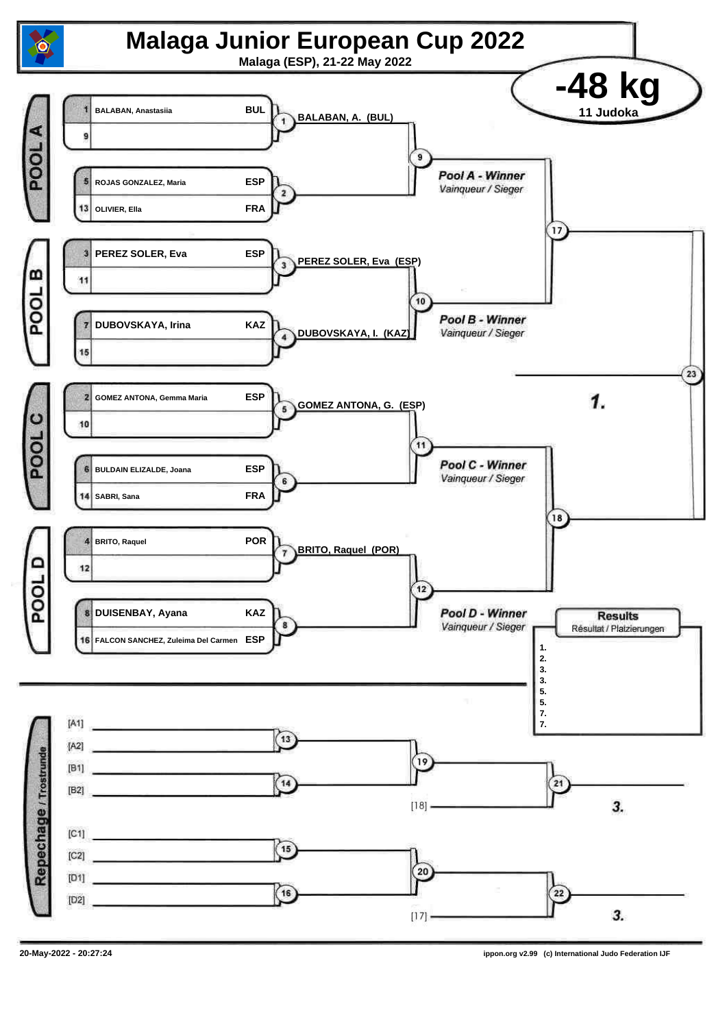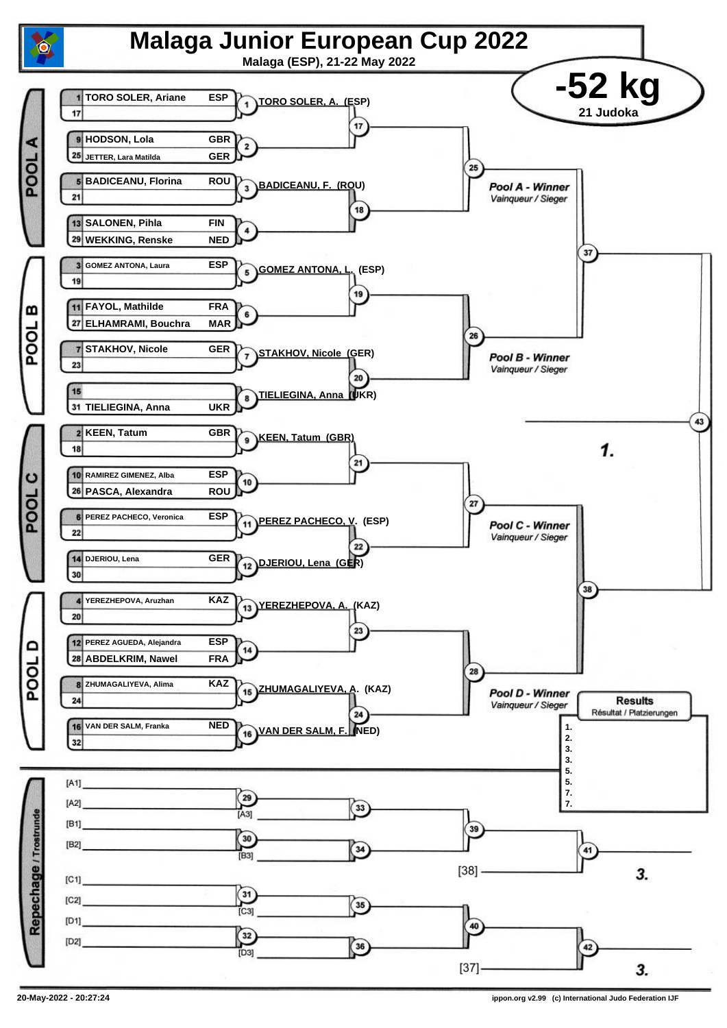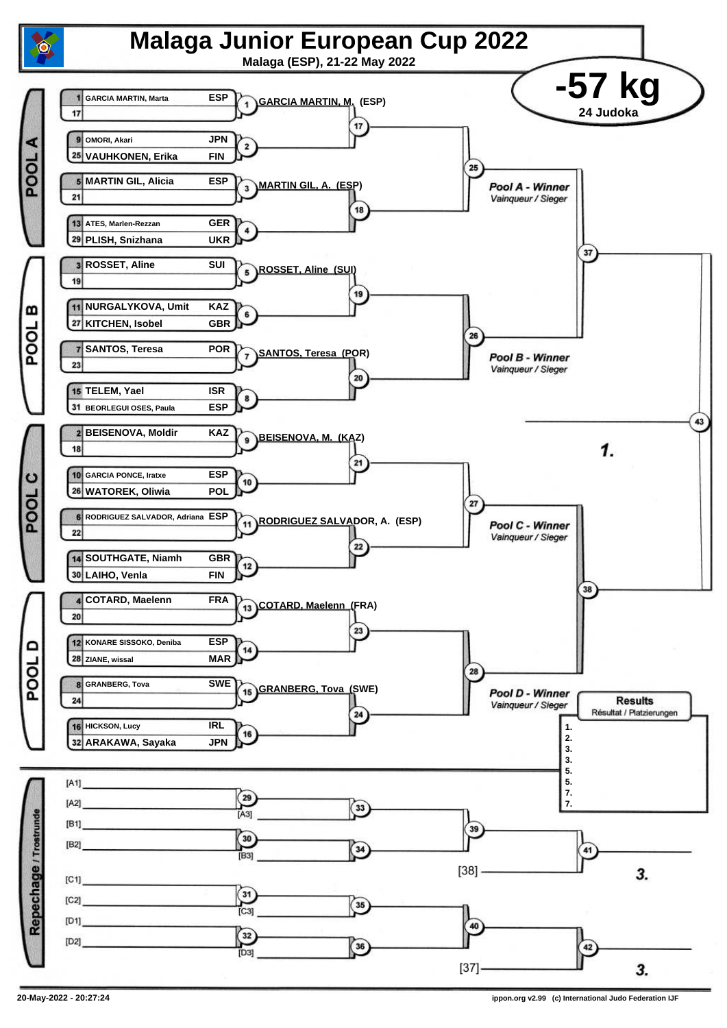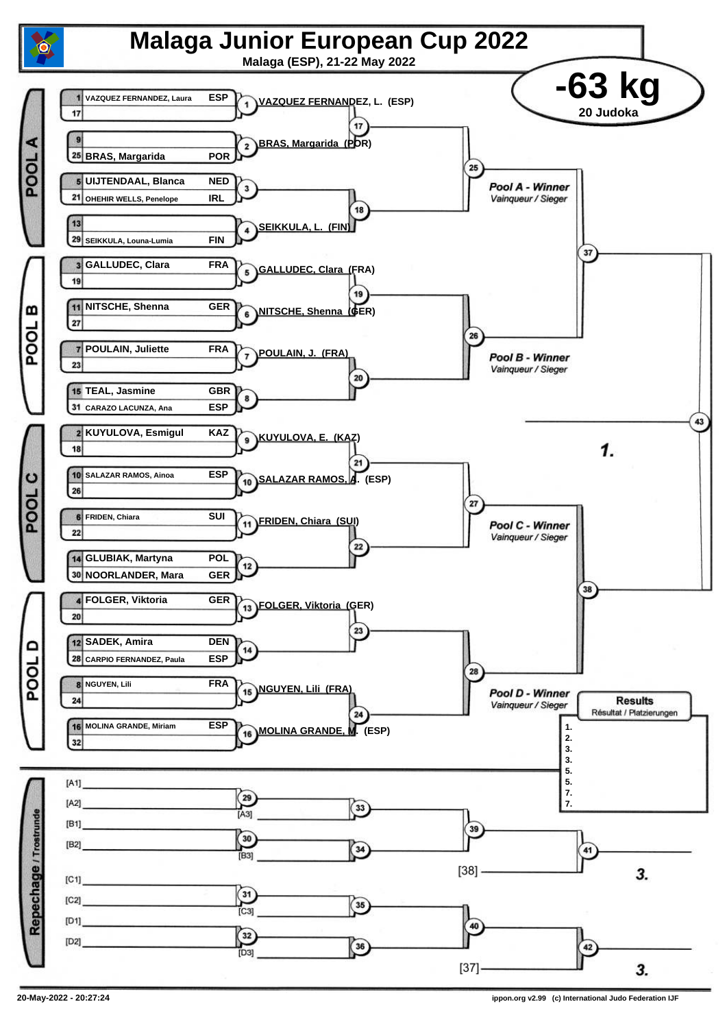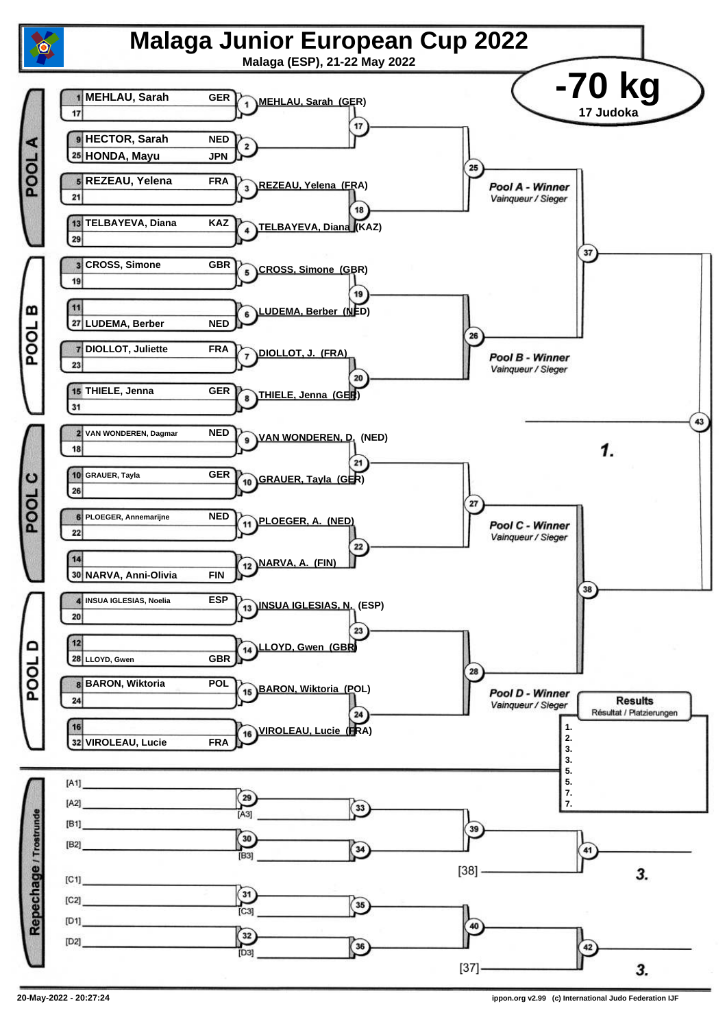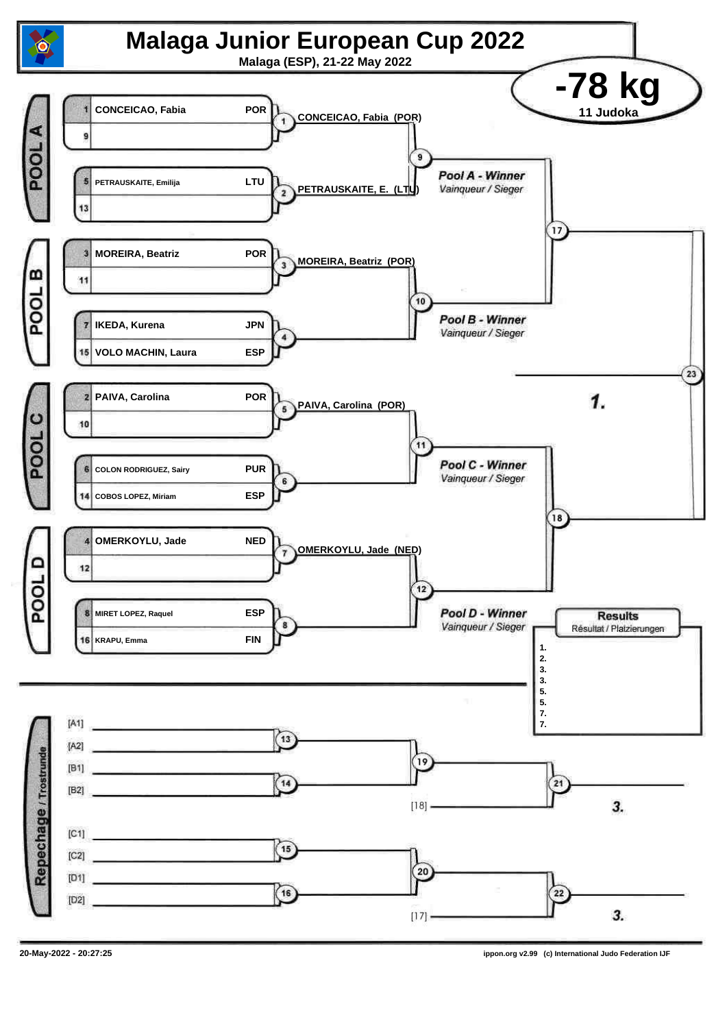